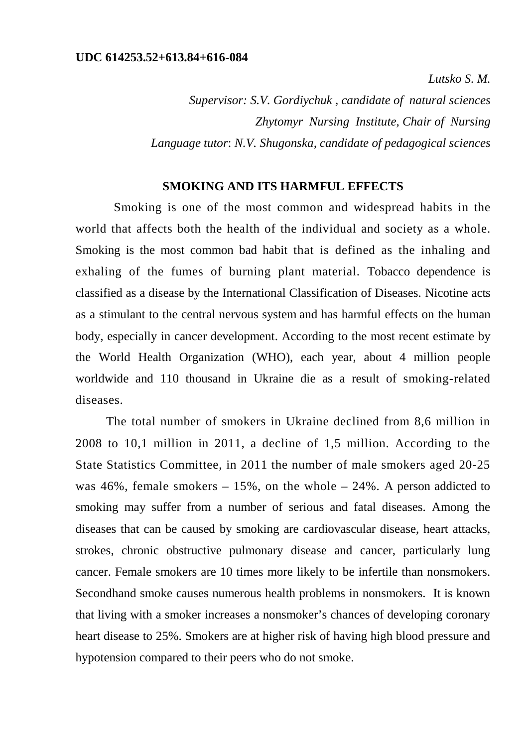*Lutsko S. M.* 

*Supervisor: S.V. Gordiychuk , candidate of natural sciences Zhytomyr Nursing Institute, Chair of Nursing Language tutor*: *N.V. Shugonska, candidate of pedagogical sciences* 

## **SMOKING AND ITS HARMFUL EFFECTS**

Smoking is one of the most common and widespread habits in the world that affects both the health of the individual and society as a whole. Smoking is the most common bad habit that is defined as the inhaling and exhaling of the fumes of burning plant material. Tobacco dependence is classified as a disease by the International Classification of Diseases. Nicotine acts as a stimulant to the central nervous system and has harmful effects on the human body, especially in cancer development. According to the most recent estimate by the World Health Organization (WHO), each year, about 4 million people worldwide and 110 thousand in Ukraine die as a result of smoking-related diseases.

The total number of smokers in Ukraine declined from 8,6 million in 2008 to 10,1 million in 2011, a decline of 1,5 million. According to the State Statistics Committee, in 2011 the number of male smokers aged 20-25 was 46%, female smokers  $-15%$ , on the whole  $-24%$ . A person addicted to smoking may suffer from a number of serious and fatal diseases. Among the diseases that can be caused by smoking are cardiovascular disease, heart attacks, strokes, chronic obstructive pulmonary disease and cancer, particularly lung cancer. Female smokers are 10 times more likely to be infertile than nonsmokers. Secondhand smoke causes numerous health problems in nonsmokers. It is known that living with a smoker increases a nonsmoker's chances of developing coronary heart disease to 25%. Smokers are at higher risk of having high blood pressure and hypotension compared to their peers who do not smoke.